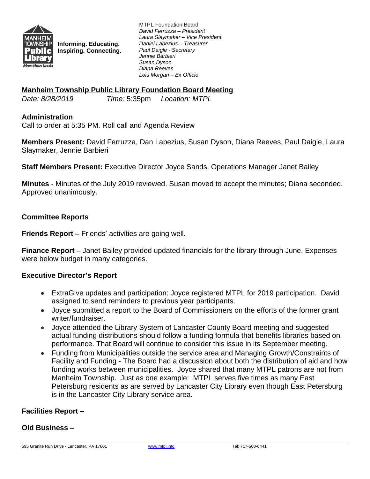

**Informing. Educating. Inspiring. Connecting.** MTPL Foundation Board *David Ferruzza – President Laura Slaymaker – Vice President Daniel Labezius – Treasurer Paul Daigle - Secretary Jennie Barbieri Susan Dyson Diana Reeves Lois Morgan – Ex Officio*

## **Manheim Township Public Library Foundation Board Meeting**

*Date: 8/28/2019 Time:* 5:35pm *Location: MTPL*

## **Administration**

Call to order at 5:35 PM. Roll call and Agenda Review

**Members Present:** David Ferruzza, Dan Labezius, Susan Dyson, Diana Reeves, Paul Daigle, Laura Slaymaker, Jennie Barbieri

**Staff Members Present:** Executive Director Joyce Sands, Operations Manager Janet Bailey

**Minutes** - Minutes of the July 2019 reviewed. Susan moved to accept the minutes; Diana seconded. Approved unanimously.

## **Committee Reports**

**Friends Report –** Friends' activities are going well.

**Finance Report –** Janet Bailey provided updated financials for the library through June. Expenses were below budget in many categories.

## **Executive Director's Report**

- ExtraGive updates and participation: Joyce registered MTPL for 2019 participation. David assigned to send reminders to previous year participants.
- Joyce submitted a report to the Board of Commissioners on the efforts of the former grant writer/fundraiser.
- Joyce attended the Library System of Lancaster County Board meeting and suggested actual funding distributions should follow a funding formula that benefits libraries based on performance. That Board will continue to consider this issue in its September meeting.
- Funding from Municipalities outside the service area and Managing Growth/Constraints of Facility and Funding - The Board had a discussion about both the distribution of aid and how funding works between municipalities. Joyce shared that many MTPL patrons are not from Manheim Township. Just as one example: MTPL serves five times as many East Petersburg residents as are served by Lancaster City Library even though East Petersburg is in the Lancaster City Library service area.

# **Facilities Report –**

## **Old Business –**

595 Granite Run Drive - Lancaster, PA 17601 [www.mtpl.info](http://www.mtpl.info) Tel: 717-560-6441